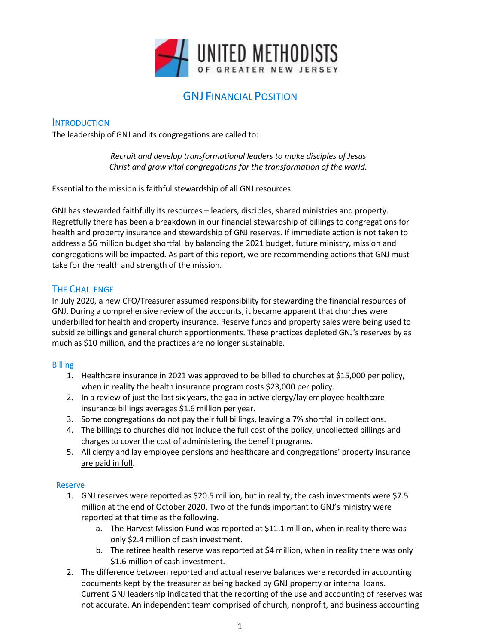

# GNJ FINANCIAL POSITION

### **INTRODUCTION**

The leadership of GNJ and its congregations are called to:

*Recruit and develop transformational leaders to make disciples of Jesus Christ and grow vital congregations for the transformation of the world.*

Essential to the mission is faithful stewardship of all GNJ resources.

GNJ has stewarded faithfully its resources – leaders, disciples, shared ministries and property. Regretfully there has been a breakdown in our financial stewardship of billings to congregations for health and property insurance and stewardship of GNJ reserves. If immediate action is not taken to address a \$6 million budget shortfall by balancing the 2021 budget, future ministry, mission and congregations will be impacted. As part of this report, we are recommending actions that GNJ must take for the health and strength of the mission.

# THE CHALLENGE

In July 2020, a new CFO/Treasurer assumed responsibility for stewarding the financial resources of GNJ. During a comprehensive review of the accounts, it became apparent that churches were underbilled for health and property insurance. Reserve funds and property sales were being used to subsidize billings and general church apportionments. These practices depleted GNJ's reserves by as much as \$10 million, and the practices are no longer sustainable.

### Billing

- 1. Healthcare insurance in 2021 was approved to be billed to churches at \$15,000 per policy, when in reality the health insurance program costs \$23,000 per policy.
- 2. In a review of just the last six years, the gap in active clergy/lay employee healthcare insurance billings averages \$1.6 million per year.
- 3. Some congregations do not pay their full billings, leaving a 7% shortfall in collections.
- 4. The billings to churches did not include the full cost of the policy, uncollected billings and charges to cover the cost of administering the benefit programs.
- 5. All clergy and lay employee pensions and healthcare and congregations' property insurance are paid in full.

### Reserve

- 1. GNJ reserves were reported as \$20.5 million, but in reality, the cash investments were \$7.5 million at the end of October 2020. Two of the funds important to GNJ's ministry were reported at that time as the following.
	- a. The Harvest Mission Fund was reported at \$11.1 million, when in reality there was only \$2.4 million of cash investment.
	- b. The retiree health reserve was reported at \$4 million, when in reality there was only \$1.6 million of cash investment.
- 2. The difference between reported and actual reserve balances were recorded in accounting documents kept by the treasurer as being backed by GNJ property or internal loans. Current GNJ leadership indicated that the reporting of the use and accounting of reserves was not accurate. An independent team comprised of church, nonprofit, and business accounting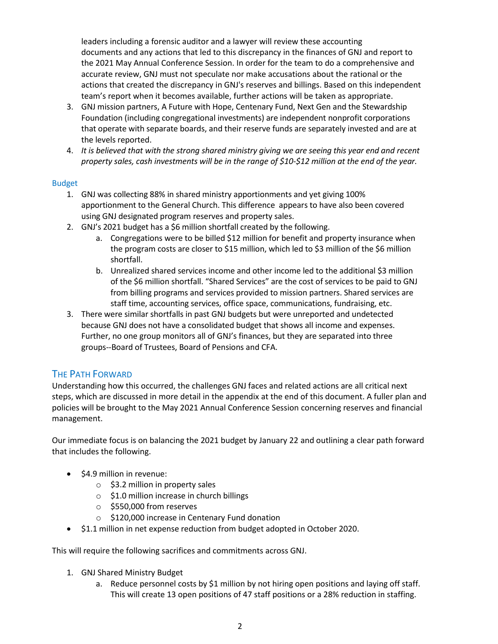leaders including a forensic auditor and a lawyer will review these accounting documents and any actions that led to this discrepancy in the finances of GNJ and report to the 2021 May Annual Conference Session. In order for the team to do a comprehensive and accurate review, GNJ must not speculate nor make accusations about the rational or the actions that created the discrepancy in GNJ's reserves and billings. Based on this independent team's report when it becomes available, further actions will be taken as appropriate.

- 3. GNJ mission partners, A Future with Hope, Centenary Fund, Next Gen and the Stewardship Foundation (including congregational investments) are independent nonprofit corporations that operate with separate boards, and their reserve funds are separately invested and are at the levels reported.
- 4. *It is believed that with the strong shared ministry giving we are seeing this year end and recent property sales, cash investments will be in the range of \$10-\$12 million at the end of the year.*

### Budget

- 1. GNJ was collecting 88% in shared ministry apportionments and yet giving 100% apportionment to the General Church. This difference appears to have also been covered using GNJ designated program reserves and property sales.
- 2. GNJ's 2021 budget has a \$6 million shortfall created by the following.
	- a. Congregations were to be billed \$12 million for benefit and property insurance when the program costs are closer to \$15 million, which led to \$3 million of the \$6 million shortfall.
	- b. Unrealized shared services income and other income led to the additional \$3 million of the \$6 million shortfall. "Shared Services" are the cost of services to be paid to GNJ from billing programs and services provided to mission partners. Shared services are staff time, accounting services, office space, communications, fundraising, etc.
- 3. There were similar shortfalls in past GNJ budgets but were unreported and undetected because GNJ does not have a consolidated budget that shows all income and expenses. Further, no one group monitors all of GNJ's finances, but they are separated into three groups--Board of Trustees, Board of Pensions and CFA.

## THE PATH FORWARD

Understanding how this occurred, the challenges GNJ faces and related actions are all critical next steps, which are discussed in more detail in the appendix at the end of this document. A fuller plan and policies will be brought to the May 2021 Annual Conference Session concerning reserves and financial management.

Our immediate focus is on balancing the 2021 budget by January 22 and outlining a clear path forward that includes the following.

- \$4.9 million in revenue:
	- $\circ$  \$3.2 million in property sales
	- o \$1.0 million increase in church billings
	- o \$550,000 from reserves
	- o \$120,000 increase in Centenary Fund donation
- \$1.1 million in net expense reduction from budget adopted in October 2020.

This will require the following sacrifices and commitments across GNJ.

- 1. GNJ Shared Ministry Budget
	- a. Reduce personnel costs by \$1 million by not hiring open positions and laying off staff. This will create 13 open positions of 47 staff positions or a 28% reduction in staffing.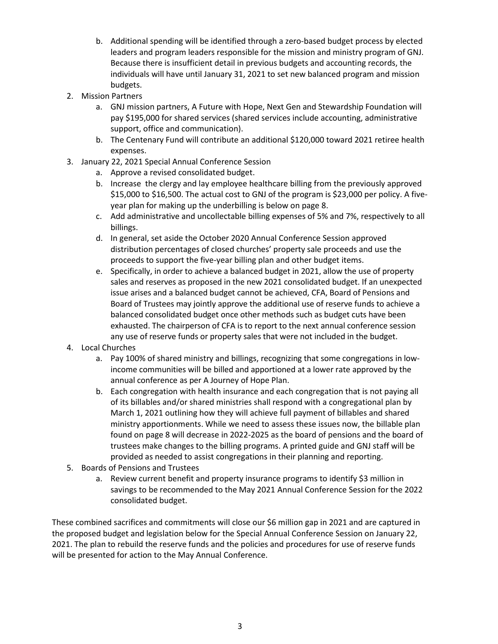- b. Additional spending will be identified through a zero-based budget process by elected leaders and program leaders responsible for the mission and ministry program of GNJ. Because there is insufficient detail in previous budgets and accounting records, the individuals will have until January 31, 2021 to set new balanced program and mission budgets.
- 2. Mission Partners
	- a. GNJ mission partners, A Future with Hope, Next Gen and Stewardship Foundation will pay \$195,000 for shared services (shared services include accounting, administrative support, office and communication).
	- b. The Centenary Fund will contribute an additional \$120,000 toward 2021 retiree health expenses.
- 3. January 22, 2021 Special Annual Conference Session
	- a. Approve a revised consolidated budget.
	- b. Increase the clergy and lay employee healthcare billing from the previously approved \$15,000 to \$16,500. The actual cost to GNJ of the program is \$23,000 per policy. A fiveyear plan for making up the underbilling is below on page 8.
	- c. Add administrative and uncollectable billing expenses of 5% and 7%, respectively to all billings.
	- d. In general, set aside the October 2020 Annual Conference Session approved distribution percentages of closed churches' property sale proceeds and use the proceeds to support the five-year billing plan and other budget items.
	- e. Specifically, in order to achieve a balanced budget in 2021, allow the use of property sales and reserves as proposed in the new 2021 consolidated budget. If an unexpected issue arises and a balanced budget cannot be achieved, CFA, Board of Pensions and Board of Trustees may jointly approve the additional use of reserve funds to achieve a balanced consolidated budget once other methods such as budget cuts have been exhausted. The chairperson of CFA is to report to the next annual conference session any use of reserve funds or property sales that were not included in the budget.
- 4. Local Churches
	- a. Pay 100% of shared ministry and billings, recognizing that some congregations in lowincome communities will be billed and apportioned at a lower rate approved by the annual conference as per A Journey of Hope Plan.
	- b. Each congregation with health insurance and each congregation that is not paying all of its billables and/or shared ministries shall respond with a congregational plan by March 1, 2021 outlining how they will achieve full payment of billables and shared ministry apportionments. While we need to assess these issues now, the billable plan found on page 8 will decrease in 2022-2025 as the board of pensions and the board of trustees make changes to the billing programs. A printed guide and GNJ staff will be provided as needed to assist congregations in their planning and reporting.
- 5. Boards of Pensions and Trustees
	- a. Review current benefit and property insurance programs to identify \$3 million in savings to be recommended to the May 2021 Annual Conference Session for the 2022 consolidated budget.

These combined sacrifices and commitments will close our \$6 million gap in 2021 and are captured in the proposed budget and legislation below for the Special Annual Conference Session on January 22, 2021. The plan to rebuild the reserve funds and the policies and procedures for use of reserve funds will be presented for action to the May Annual Conference.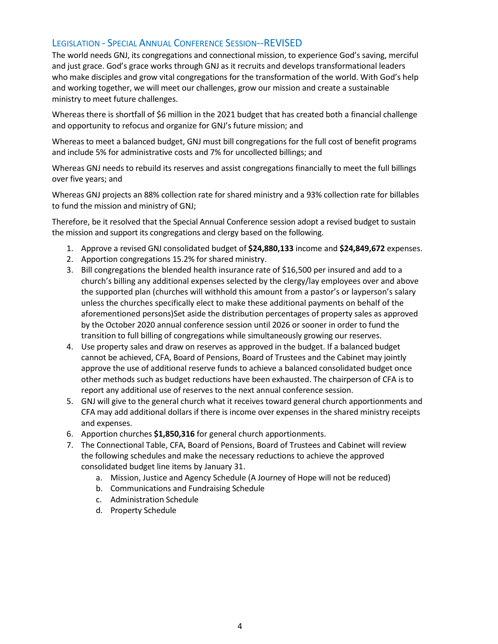# LEGISLATION - SPECIAL ANNUAL CONFERENCE SESSION--REVISED

The world needs GNJ, its congregations and connectional mission, to experience God's saving, merciful and just grace. God's grace works through GNJ as it recruits and develops transformational leaders who make disciples and grow vital congregations for the transformation of the world. With God's help and working together, we will meet our challenges, grow our mission and create a sustainable ministry to meet future challenges.

Whereas there is shortfall of \$6 million in the 2021 budget that has created both a financial challenge and opportunity to refocus and organize for GNJ's future mission; and

Whereas to meet a balanced budget, GNJ must bill congregations for the full cost of benefit programs and include 5% for administrative costs and 7% for uncollected billings; and

Whereas GNJ needs to rebuild its reserves and assist congregations financially to meet the full billings over five years; and

Whereas GNJ projects an 88% collection rate for shared ministry and a 93% collection rate for billables to fund the mission and ministry of GNJ;

Therefore, be it resolved that the Special Annual Conference session adopt a revised budget to sustain the mission and support its congregations and clergy based on the following.

- 1. Approve a revised GNJ consolidated budget of **\$24,880,133** income and **\$24,849,672** expenses.
- 2. Apportion congregations 15.2% for shared ministry.
- 3. Bill congregations the blended health insurance rate of \$16,500 per insured and add to a church's billing any additional expenses selected by the clergy/lay employees over and above the supported plan (churches will withhold this amount from a pastor's or layperson's salary unless the churches specifically elect to make these additional payments on behalf of the aforementioned persons)Set aside the distribution percentages of property sales as approved by the October 2020 annual conference session until 2026 or sooner in order to fund the transition to full billing of congregations while simultaneously growing our reserves.
- 4. Use property sales and draw on reserves as approved in the budget. If a balanced budget cannot be achieved, CFA, Board of Pensions, Board of Trustees and the Cabinet may jointly approve the use of additional reserve funds to achieve a balanced consolidated budget once other methods such as budget reductions have been exhausted. The chairperson of CFA is to report any additional use of reserves to the next annual conference session.
- 5. GNJ will give to the general church what it receives toward general church apportionments and CFA may add additional dollars if there is income over expenses in the shared ministry receipts and expenses.
- 6. Apportion churches **\$1,850,316** for general church apportionments.
- 7. The Connectional Table, CFA, Board of Pensions, Board of Trustees and Cabinet will review the following schedules and make the necessary reductions to achieve the approved consolidated budget line items by January 31.
	- a. Mission, Justice and Agency Schedule (A Journey of Hope will not be reduced)
	- b. Communications and Fundraising Schedule
	- c. Administration Schedule
	- d. Property Schedule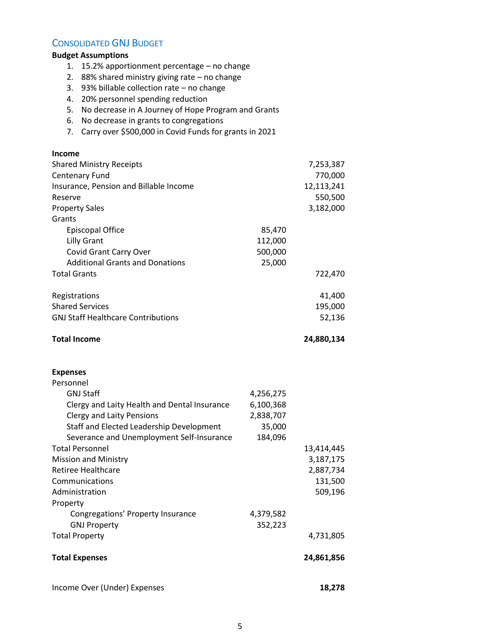# CONSOLIDATED GNJ BUDGET

# **Budget Assumptions**

- 1. 15.2% apportionment percentage no change
- 2. 88% shared ministry giving rate no change
- 3. 93% billable collection rate no change
- 4. 20% personnel spending reduction
- 5. No decrease in A Journey of Hope Program and Grants
- 6. No decrease in grants to congregations
- 7. Carry over \$500,000 in Covid Funds for grants in 2021

| <b>Income</b>                                |           |            |
|----------------------------------------------|-----------|------------|
| <b>Shared Ministry Receipts</b>              |           | 7,253,387  |
| <b>Centenary Fund</b>                        |           | 770,000    |
| Insurance, Pension and Billable Income       |           | 12,113,241 |
| Reserve                                      |           | 550,500    |
| <b>Property Sales</b>                        |           | 3,182,000  |
| Grants                                       |           |            |
| <b>Episcopal Office</b>                      | 85,470    |            |
| <b>Lilly Grant</b>                           | 112,000   |            |
| Covid Grant Carry Over                       | 500,000   |            |
| <b>Additional Grants and Donations</b>       | 25,000    |            |
| <b>Total Grants</b>                          |           | 722,470    |
| Registrations                                |           | 41,400     |
| <b>Shared Services</b>                       |           | 195,000    |
| <b>GNJ Staff Healthcare Contributions</b>    |           | 52,136     |
|                                              |           |            |
| <b>Total Income</b>                          |           | 24,880,134 |
| <b>Expenses</b>                              |           |            |
| Personnel                                    |           |            |
| <b>GNJ Staff</b>                             | 4,256,275 |            |
| Clergy and Laity Health and Dental Insurance | 6,100,368 |            |
| <b>Clergy and Laity Pensions</b>             | 2,838,707 |            |
| Staff and Elected Leadership Development     | 35,000    |            |
| Severance and Unemployment Self-Insurance    | 184,096   |            |
| <b>Total Personnel</b>                       |           | 13,414,445 |
| <b>Mission and Ministry</b>                  |           | 3,187,175  |
| <b>Retiree Healthcare</b>                    |           | 2,887,734  |
| Communications                               |           | 131,500    |
| Administration                               |           | 509,196    |
| Property                                     |           |            |
| Congregations' Property Insurance            | 4,379,582 |            |
| <b>GNJ Property</b>                          | 352,223   |            |
| <b>Total Property</b>                        |           | 4,731,805  |
| <b>Total Expenses</b>                        |           | 24,861,856 |
|                                              |           |            |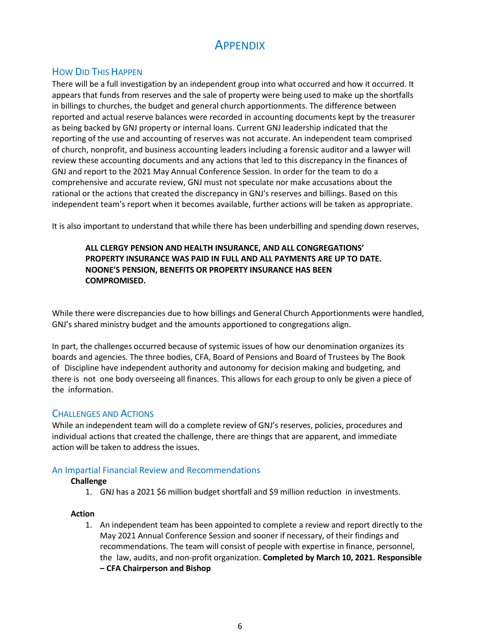# **APPENDIX**

# HOW DID THIS HAPPEN

There will be a full investigation by an independent group into what occurred and how it occurred. It appears that funds from reserves and the sale of property were being used to make up the shortfalls in billings to churches, the budget and general church apportionments. The difference between reported and actual reserve balances were recorded in accounting documents kept by the treasurer as being backed by GNJ property or internal loans. Current GNJ leadership indicated that the reporting of the use and accounting of reserves was not accurate. An independent team comprised of church, nonprofit, and business accounting leaders including a forensic auditor and a lawyer will review these accounting documents and any actions that led to this discrepancy in the finances of GNJ and report to the 2021 May Annual Conference Session. In order for the team to do a comprehensive and accurate review, GNJ must not speculate nor make accusations about the rational or the actions that created the discrepancy in GNJ's reserves and billings. Based on this independent team's report when it becomes available, further actions will be taken as appropriate.

It is also important to understand that while there has been underbilling and spending down reserves,

### **ALL CLERGY PENSION AND HEALTH INSURANCE, AND ALL CONGREGATIONS' PROPERTY INSURANCE WAS PAID IN FULL AND ALL PAYMENTS ARE UP TO DATE. NOONE'S PENSION, BENEFITS OR PROPERTY INSURANCE HAS BEEN COMPROMISED.**

While there were discrepancies due to how billings and General Church Apportionments were handled, GNJ's shared ministry budget and the amounts apportioned to congregations align.

In part, the challenges occurred because of systemic issues of how our denomination organizes its boards and agencies. The three bodies, CFA, Board of Pensions and Board of Trustees by The Book of Discipline have independent authority and autonomy for decision making and budgeting, and there is not one body overseeing all finances. This allows for each group to only be given a piece of the information.

## CHALLENGES AND ACTIONS

While an independent team will do a complete review of GNJ's reserves, policies, procedures and individual actions that created the challenge, there are things that are apparent, and immediate action will be taken to address the issues.

### An Impartial Financial Review and Recommendations

### **Challenge**

1. GNJ has a 2021 \$6 million budget shortfall and \$9 million reduction in investments.

#### **Action**

1. An independent team has been appointed to complete a review and report directly to the May 2021 Annual Conference Session and sooner if necessary, of their findings and recommendations. The team will consist of people with expertise in finance, personnel, the law, audits, and non-profit organization. **Completed by March 10, 2021. Responsible – CFA Chairperson and Bishop**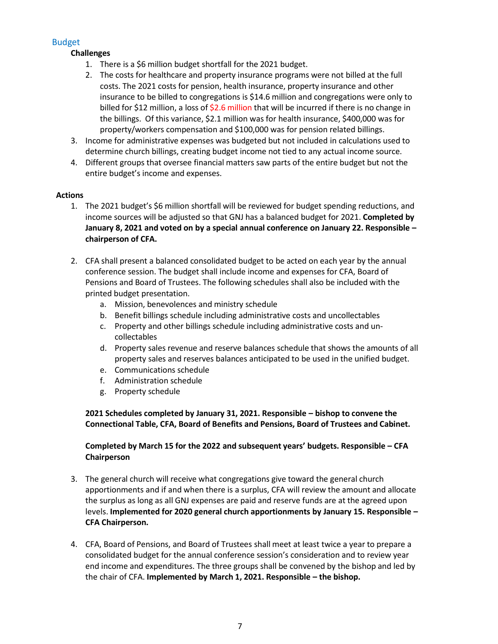# Budget

# **Challenges**

- 1. There is a \$6 million budget shortfall for the 2021 budget.
- 2. The costs for healthcare and property insurance programs were not billed at the full costs. The 2021 costs for pension, health insurance, property insurance and other insurance to be billed to congregations is \$14.6 million and congregations were only to billed for \$12 million, a loss of \$2.6 million that will be incurred if there is no change in the billings. Of this variance, \$2.1 million was for health insurance, \$400,000 was for property/workers compensation and \$100,000 was for pension related billings.
- 3. Income for administrative expenses was budgeted but not included in calculations used to determine church billings, creating budget income not tied to any actual income source.
- 4. Different groups that oversee financial matters saw parts of the entire budget but not the entire budget's income and expenses.

## **Actions**

- 1. The 2021 budget's \$6 million shortfall will be reviewed for budget spending reductions, and income sources will be adjusted so that GNJ has a balanced budget for 2021. **Completed by January 8, 2021 and voted on by a special annual conference on January 22. Responsible – chairperson of CFA.**
- 2. CFA shall present a balanced consolidated budget to be acted on each year by the annual conference session. The budget shall include income and expenses for CFA, Board of Pensions and Board of Trustees. The following schedules shall also be included with the printed budget presentation.
	- a. Mission, benevolences and ministry schedule
	- b. Benefit billings schedule including administrative costs and uncollectables
	- c. Property and other billings schedule including administrative costs and uncollectables
	- d. Property sales revenue and reserve balances schedule that shows the amounts of all property sales and reserves balances anticipated to be used in the unified budget.
	- e. Communications schedule
	- f. Administration schedule
	- g. Property schedule

**2021 Schedules completed by January 31, 2021. Responsible – bishop to convene the Connectional Table, CFA, Board of Benefits and Pensions, Board of Trustees and Cabinet.**

## **Completed by March 15 for the 2022 and subsequent years' budgets. Responsible – CFA Chairperson**

- 3. The general church will receive what congregations give toward the general church apportionments and if and when there is a surplus, CFA will review the amount and allocate the surplus as long as all GNJ expenses are paid and reserve funds are at the agreed upon levels. **Implemented for 2020 general church apportionments by January 15. Responsible – CFA Chairperson.**
- 4. CFA, Board of Pensions, and Board of Trustees shall meet at least twice a year to prepare a consolidated budget for the annual conference session's consideration and to review year end income and expenditures. The three groups shall be convened by the bishop and led by the chair of CFA. **Implemented by March 1, 2021. Responsible – the bishop.**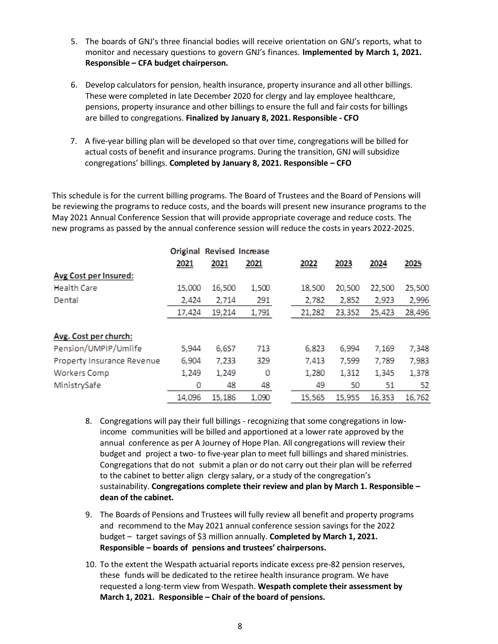- 5. The boards of GNJ's three financial bodies will receive orientation on GNJ's reports, what to monitor and necessary questions to govern GNJ's finances. **Implemented by March 1, 2021. Responsible – CFA budget chairperson.**
- 6. Develop calculators for pension, health insurance, property insurance and all other billings. These were completed in late December 2020 for clergy and lay employee healthcare, pensions, property insurance and other billings to ensure the full and fair costs for billings are billed to congregations. **Finalized by January 8, 2021. Responsible - CFO**
- 7. A five-year billing plan will be developed so that over time, congregations will be billed for actual costs of benefit and insurance programs. During the transition, GNJ will subsidize congregations' billings. **Completed by January 8, 2021. Responsible – CFO**

This schedule is for the current billing programs. The Board of Trustees and the Board of Pensions will be reviewing the programs to reduce costs, and the boards will present new insurance programs to the May 2021 Annual Conference Session that will provide appropriate coverage and reduce costs. The new programs as passed by the annual conference session will reduce the costs in years 2022-2025.

|                            |        | Original Revised Increase |       |        |        |        |        |
|----------------------------|--------|---------------------------|-------|--------|--------|--------|--------|
|                            | 2021   | 2021                      | 2021  | 2022   | 2023   | 2024   | 2025   |
| Avg Cost per Insured:      |        |                           |       |        |        |        |        |
| Health Care                | 15,000 | 16,500                    | 1,500 | 18,500 | 20,500 | 22,500 | 25,500 |
| Dental                     | 2,424  | 2,714                     | 291   | 2,782  | 2,852  | 2,923  | 2,996  |
|                            | 17,424 | 19,214                    | 1,791 | 21,282 | 23,352 | 25,423 | 28,496 |
| Avg. Cost per church:      |        |                           |       |        |        |        |        |
| Pension/UMPIP/Umlife       | 5,944  | 6,657                     | 713   | 6,823  | 6,994  | 7,169  | 7,348  |
| Property Insurance Revenue | 6,904  | 7,233                     | 329   | 7,413  | 7,599  | 7,789  | 7,983  |
| Workers Comp               | 1,249  | 1,249                     | 0     | 1,280  | 1,312  | 1,345  | 1,378  |
| MinistrySafe               | 0      | 48                        | 48    | 49     | 50     | 51     | 52     |
|                            | 14,096 | 15,186                    | 1,090 | 15,565 | 15,955 | 16,353 | 16,762 |

- 8. Congregations will pay their full billings recognizing that some congregations in lowincome communities will be billed and apportioned at a lower rate approved by the annual conference as per A Journey of Hope Plan. All congregations will review their budget and project a two- to five-year plan to meet full billings and shared ministries. Congregations that do not submit a plan or do not carry out their plan will be referred to the cabinet to better align clergy salary, or a study of the congregation's sustainability. **Congregations complete their review and plan by March 1. Responsible – dean of the cabinet.**
- 9. The Boards of Pensions and Trustees will fully review all benefit and property programs and recommend to the May 2021 annual conference session savings for the 2022 budget – target savings of \$3 million annually. **Completed by March 1, 2021. Responsible – boards of pensions and trustees' chairpersons.**
- 10. To the extent the Wespath actuarial reports indicate excess pre-82 pension reserves, these funds will be dedicated to the retiree health insurance program. We have requested a long-term view from Wespath. **Wespath complete their assessment by March 1, 2021. Responsible – Chair of the board of pensions.**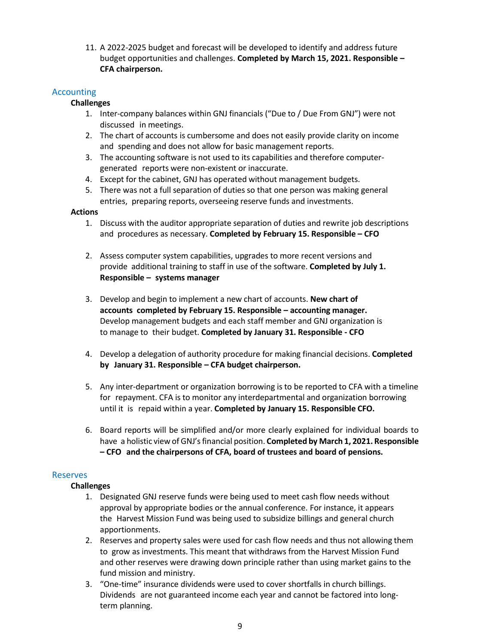11. A 2022-2025 budget and forecast will be developed to identify and address future budget opportunities and challenges. **Completed by March 15, 2021. Responsible – CFA chairperson.**

## Accounting

### **Challenges**

- 1. Inter-company balances within GNJ financials ("Due to / Due From GNJ") were not discussed in meetings.
- 2. The chart of accounts is cumbersome and does not easily provide clarity on income and spending and does not allow for basic management reports.
- 3. The accounting software is not used to its capabilities and therefore computergenerated reports were non-existent or inaccurate.
- 4. Except for the cabinet, GNJ has operated without management budgets.
- 5. There was not a full separation of duties so that one person was making general entries, preparing reports, overseeing reserve funds and investments.

### **Actions**

- 1. Discuss with the auditor appropriate separation of duties and rewrite job descriptions and procedures as necessary. **Completed by February 15. Responsible – CFO**
- 2. Assess computer system capabilities, upgrades to more recent versions and provide additional training to staff in use of the software. **Completed by July 1. Responsible – systems manager**
- 3. Develop and begin to implement a new chart of accounts. **New chart of accounts completed by February 15. Responsible – accounting manager.** Develop management budgets and each staff member and GNJ organization is to manage to their budget. **Completed by January 31. Responsible - CFO**
- 4. Develop a delegation of authority procedure for making financial decisions. **Completed by January 31. Responsible – CFA budget chairperson.**
- 5. Any inter-department or organization borrowing is to be reported to CFA with a timeline for repayment. CFA is to monitor any interdepartmental and organization borrowing until it is repaid within a year. **Completed by January 15. Responsible CFO.**
- 6. Board reports will be simplified and/or more clearly explained for individual boards to have a holistic view of GNJ'sfinancial position. **Completed by March 1, 2021. Responsible – CFO and the chairpersons of CFA, board of trustees and board of pensions.**

### Reserves

### **Challenges**

- 1. Designated GNJ reserve funds were being used to meet cash flow needs without approval by appropriate bodies or the annual conference. For instance, it appears the Harvest Mission Fund was being used to subsidize billings and general church apportionments.
- 2. Reserves and property sales were used for cash flow needs and thus not allowing them to grow as investments. This meant that withdraws from the Harvest Mission Fund and other reserves were drawing down principle rather than using market gains to the fund mission and ministry.
- 3. "One-time" insurance dividends were used to cover shortfalls in church billings. Dividends are not guaranteed income each year and cannot be factored into longterm planning.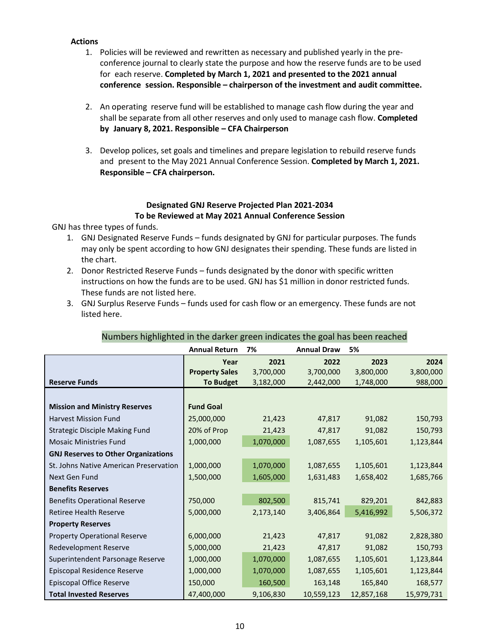### **Actions**

- 1. Policies will be reviewed and rewritten as necessary and published yearly in the preconference journal to clearly state the purpose and how the reserve funds are to be used for each reserve. **Completed by March 1, 2021 and presented to the 2021 annual conference session. Responsible – chairperson of the investment and audit committee.**
- 2. An operating reserve fund will be established to manage cash flow during the year and shall be separate from all other reserves and only used to manage cash flow. **Completed by January 8, 2021. Responsible – CFA Chairperson**
- 3. Develop polices, set goals and timelines and prepare legislation to rebuild reserve funds and present to the May 2021 Annual Conference Session. **Completed by March 1, 2021. Responsible – CFA chairperson.**

### **Designated GNJ Reserve Projected Plan 2021-2034 To be Reviewed at May 2021 Annual Conference Session**

GNJ has three types of funds.

- 1. GNJ Designated Reserve Funds funds designated by GNJ for particular purposes. The funds may only be spent according to how GNJ designates their spending. These funds are listed in the chart.
- 2. Donor Restricted Reserve Funds funds designated by the donor with specific written instructions on how the funds are to be used. GNJ has \$1 million in donor restricted funds. These funds are not listed here.
- 3. GNJ Surplus Reserve Funds funds used for cash flow or an emergency. These funds are not listed here.

|                                            | <b>Annual Return</b>  | 7%        | <b>Annual Draw</b> | 5%         |            |
|--------------------------------------------|-----------------------|-----------|--------------------|------------|------------|
|                                            | Year                  | 2021      | 2022               | 2023       | 2024       |
|                                            | <b>Property Sales</b> | 3,700,000 | 3,700,000          | 3,800,000  | 3,800,000  |
| <b>Reserve Funds</b>                       | <b>To Budget</b>      | 3,182,000 | 2,442,000          | 1,748,000  | 988,000    |
|                                            |                       |           |                    |            |            |
| <b>Mission and Ministry Reserves</b>       | <b>Fund Goal</b>      |           |                    |            |            |
| <b>Harvest Mission Fund</b>                | 25,000,000            | 21,423    | 47,817             | 91,082     | 150,793    |
| <b>Strategic Disciple Making Fund</b>      | 20% of Prop           | 21,423    | 47,817             | 91,082     | 150,793    |
| <b>Mosaic Ministries Fund</b>              | 1,000,000             | 1,070,000 | 1,087,655          | 1,105,601  | 1,123,844  |
| <b>GNJ Reserves to Other Organizations</b> |                       |           |                    |            |            |
| St. Johns Native American Preservation     | 1,000,000             | 1,070,000 | 1,087,655          | 1,105,601  | 1,123,844  |
| Next Gen Fund                              | 1,500,000             | 1,605,000 | 1,631,483          | 1,658,402  | 1,685,766  |
| <b>Benefits Reserves</b>                   |                       |           |                    |            |            |
| <b>Benefits Operational Reserve</b>        | 750,000               | 802,500   | 815,741            | 829,201    | 842,883    |
| <b>Retiree Health Reserve</b>              | 5,000,000             | 2,173,140 | 3,406,864          | 5,416,992  | 5,506,372  |
| <b>Property Reserves</b>                   |                       |           |                    |            |            |
| <b>Property Operational Reserve</b>        | 6,000,000             | 21,423    | 47,817             | 91,082     | 2,828,380  |
| Redevelopment Reserve                      | 5,000,000             | 21,423    | 47,817             | 91,082     | 150,793    |
| Superintendent Parsonage Reserve           | 1,000,000             | 1,070,000 | 1,087,655          | 1,105,601  | 1,123,844  |
| Episcopal Residence Reserve                | 1,000,000             | 1,070,000 | 1,087,655          | 1,105,601  | 1,123,844  |
| <b>Episcopal Office Reserve</b>            | 150,000               | 160,500   | 163,148            | 165,840    | 168,577    |
| <b>Total Invested Reserves</b>             | 47,400,000            | 9,106,830 | 10,559,123         | 12,857,168 | 15,979,731 |

### Numbers highlighted in the darker green indicates the goal has been reached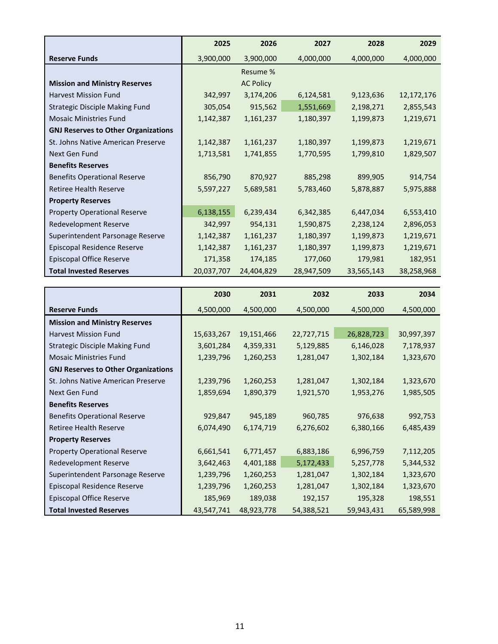|                                            | 2025       | 2026             | 2027       | 2028       | 2029       |
|--------------------------------------------|------------|------------------|------------|------------|------------|
| <b>Reserve Funds</b>                       | 3,900,000  | 3,900,000        | 4,000,000  | 4,000,000  | 4,000,000  |
|                                            |            | Resume %         |            |            |            |
| <b>Mission and Ministry Reserves</b>       |            | <b>AC Policy</b> |            |            |            |
| <b>Harvest Mission Fund</b>                | 342,997    | 3,174,206        | 6,124,581  | 9,123,636  | 12,172,176 |
| <b>Strategic Disciple Making Fund</b>      | 305,054    | 915,562          | 1,551,669  | 2,198,271  | 2,855,543  |
| <b>Mosaic Ministries Fund</b>              | 1,142,387  | 1,161,237        | 1,180,397  | 1,199,873  | 1,219,671  |
| <b>GNJ Reserves to Other Organizations</b> |            |                  |            |            |            |
| St. Johns Native American Preserve         | 1,142,387  | 1,161,237        | 1,180,397  | 1,199,873  | 1,219,671  |
| Next Gen Fund                              | 1,713,581  | 1,741,855        | 1,770,595  | 1,799,810  | 1,829,507  |
| <b>Benefits Reserves</b>                   |            |                  |            |            |            |
| <b>Benefits Operational Reserve</b>        | 856,790    | 870,927          | 885,298    | 899,905    | 914,754    |
| Retiree Health Reserve                     | 5,597,227  | 5,689,581        | 5,783,460  | 5,878,887  | 5,975,888  |
| <b>Property Reserves</b>                   |            |                  |            |            |            |
| <b>Property Operational Reserve</b>        | 6,138,155  | 6,239,434        | 6,342,385  | 6,447,034  | 6,553,410  |
| Redevelopment Reserve                      | 342,997    | 954,131          | 1,590,875  | 2,238,124  | 2,896,053  |
| Superintendent Parsonage Reserve           | 1,142,387  | 1,161,237        | 1,180,397  | 1,199,873  | 1,219,671  |
| Episcopal Residence Reserve                | 1,142,387  | 1,161,237        | 1,180,397  | 1,199,873  | 1,219,671  |
| Episcopal Office Reserve                   | 171,358    | 174,185          | 177,060    | 179,981    | 182,951    |
| <b>Total Invested Reserves</b>             | 20,037,707 | 24,404,829       | 28,947,509 | 33,565,143 | 38,258,968 |

|                                            | 2030       | 2031       | 2032       | 2033       | 2034       |
|--------------------------------------------|------------|------------|------------|------------|------------|
| <b>Reserve Funds</b>                       | 4,500,000  | 4,500,000  | 4,500,000  | 4,500,000  | 4,500,000  |
| <b>Mission and Ministry Reserves</b>       |            |            |            |            |            |
| <b>Harvest Mission Fund</b>                | 15,633,267 | 19,151,466 | 22,727,715 | 26,828,723 | 30,997,397 |
| <b>Strategic Disciple Making Fund</b>      | 3,601,284  | 4,359,331  | 5,129,885  | 6,146,028  | 7,178,937  |
| <b>Mosaic Ministries Fund</b>              | 1,239,796  | 1,260,253  | 1,281,047  | 1,302,184  | 1,323,670  |
| <b>GNJ Reserves to Other Organizations</b> |            |            |            |            |            |
| St. Johns Native American Preserve         | 1,239,796  | 1,260,253  | 1,281,047  | 1,302,184  | 1,323,670  |
| Next Gen Fund                              | 1,859,694  | 1,890,379  | 1,921,570  | 1,953,276  | 1,985,505  |
| <b>Benefits Reserves</b>                   |            |            |            |            |            |
| <b>Benefits Operational Reserve</b>        | 929,847    | 945,189    | 960,785    | 976,638    | 992,753    |
| <b>Retiree Health Reserve</b>              | 6,074,490  | 6,174,719  | 6,276,602  | 6,380,166  | 6,485,439  |
| <b>Property Reserves</b>                   |            |            |            |            |            |
| <b>Property Operational Reserve</b>        | 6,661,541  | 6,771,457  | 6,883,186  | 6,996,759  | 7,112,205  |
| Redevelopment Reserve                      | 3,642,463  | 4,401,188  | 5,172,433  | 5,257,778  | 5,344,532  |
| Superintendent Parsonage Reserve           | 1,239,796  | 1,260,253  | 1,281,047  | 1,302,184  | 1,323,670  |
| Episcopal Residence Reserve                | 1,239,796  | 1,260,253  | 1,281,047  | 1,302,184  | 1,323,670  |
| Episcopal Office Reserve                   | 185,969    | 189,038    | 192,157    | 195,328    | 198,551    |
| <b>Total Invested Reserves</b>             | 43,547,741 | 48,923,778 | 54,388,521 | 59,943,431 | 65,589,998 |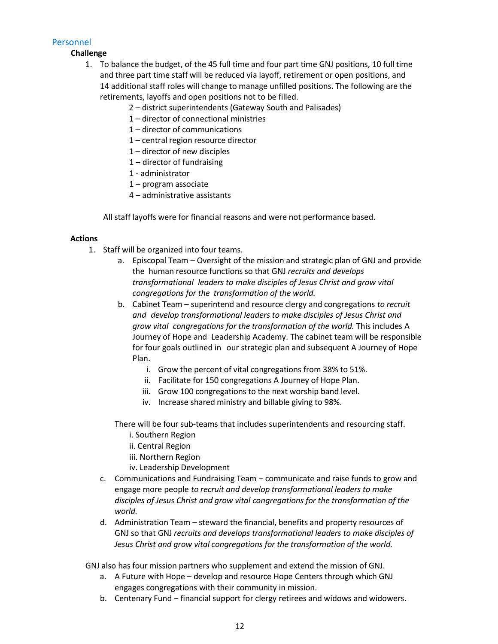# Personnel

**Challenge**

- 1. To balance the budget, of the 45 full time and four part time GNJ positions, 10 full time and three part time staff will be reduced via layoff, retirement or open positions, and 14 additional staff roles will change to manage unfilled positions. The following are the retirements, layoffs and open positions not to be filled.
	- 2 district superintendents (Gateway South and Palisades)
	- 1 director of connectional ministries
	- 1 director of communications
	- 1 central region resource director
	- 1 director of new disciples
	- 1 director of fundraising
	- 1 administrator
	- 1 program associate
	- 4 administrative assistants

All staff layoffs were for financial reasons and were not performance based.

### **Actions**

- 1. Staff will be organized into four teams.
	- a. Episcopal Team Oversight of the mission and strategic plan of GNJ and provide the human resource functions so that GNJ *recruits and develops transformational leaders to make disciples of Jesus Christ and grow vital congregations for the transformation of the world.*
	- b. Cabinet Team superintend and resource clergy and congregations *to recruit and develop transformational leaders to make disciples of Jesus Christ and grow vital congregations for the transformation of the world.* This includes A Journey of Hope and Leadership Academy. The cabinet team will be responsible for four goals outlined in our strategic plan and subsequent A Journey of Hope Plan.
		- i. Grow the percent of vital congregations from 38% to 51%.
		- ii. Facilitate for 150 congregations A Journey of Hope Plan.
		- iii. Grow 100 congregations to the next worship band level.
		- iv. Increase shared ministry and billable giving to 98%.

There will be four sub-teams that includes superintendents and resourcing staff.

- i. Southern Region
- ii. Central Region
- iii. Northern Region
- iv. Leadership Development
- c. Communications and Fundraising Team communicate and raise funds to grow and engage more people *to recruit and develop transformational leaders to make disciples of Jesus Christ and grow vital congregations for the transformation of the world.*
- d. Administration Team steward the financial, benefits and property resources of GNJ so that GNJ *recruits and develops transformational leaders to make disciples of Jesus Christ and grow vital congregations for the transformation of the world.*
- GNJ also has four mission partners who supplement and extend the mission of GNJ.
	- a. A Future with Hope develop and resource Hope Centers through which GNJ engages congregations with their community in mission.
	- b. Centenary Fund financial support for clergy retirees and widows and widowers.